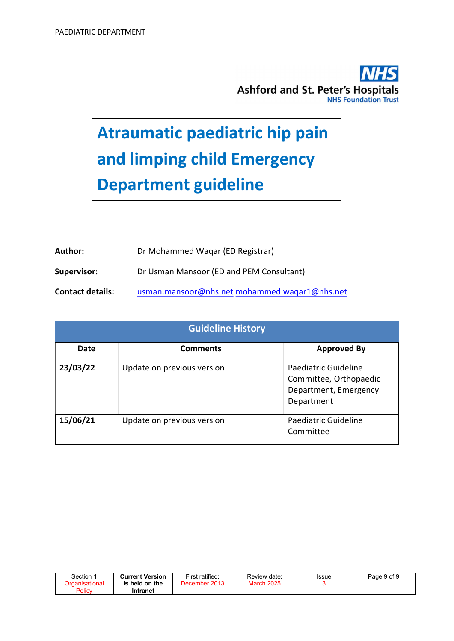

# Atraumatic paediatric hip pain and limping child Emergency Department guideline

| Author:                 | Dr Mohammed Wagar (ED Registrar)              |
|-------------------------|-----------------------------------------------|
| Supervisor:             | Dr Usman Mansoor (ED and PEM Consultant)      |
| <b>Contact details:</b> | usman.mansoor@nhs.net mohammed.wagar1@nhs.net |

|          | <b>Guideline History</b>   |                                                                                       |  |  |  |  |
|----------|----------------------------|---------------------------------------------------------------------------------------|--|--|--|--|
| Date     | <b>Comments</b>            | <b>Approved By</b>                                                                    |  |  |  |  |
| 23/03/22 | Update on previous version | Paediatric Guideline<br>Committee, Orthopaedic<br>Department, Emergency<br>Department |  |  |  |  |
| 15/06/21 | Update on previous version | Paediatric Guideline<br>Committee                                                     |  |  |  |  |

| Section               | <b>Current Version</b> | First ratified:   | Review date:      | Issue | Page 9 of 9 |
|-----------------------|------------------------|-------------------|-------------------|-------|-------------|
| <u>)rganisational</u> | is held on the         | 2013<br>December' | <b>March 2025</b> |       |             |
| Policy                | Intranet               |                   |                   |       |             |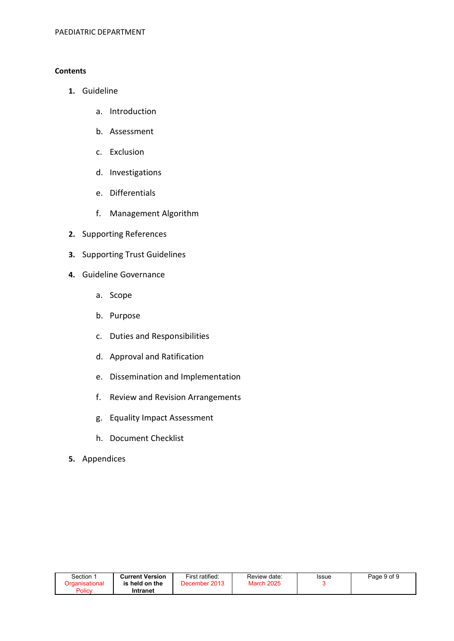#### **Contents**

- 1. Guideline
	- a. Introduction
	- b. Assessment
	- c. Exclusion
	- d. Investigations
	- e. Differentials
	- f. Management Algorithm
- 2. Supporting References
- 3. Supporting Trust Guidelines
- 4. Guideline Governance
	- a. Scope
	- b. Purpose
	- c. Duties and Responsibilities
	- d. Approval and Ratification
	- e. Dissemination and Implementation
	- f. Review and Revision Arrangements
	- g. Equality Impact Assessment
	- h. Document Checklist
- 5. Appendices

| Section 1      | <b>Current Version</b> | First ratified: | Review date:      | Issue | Page 9 of 9 |
|----------------|------------------------|-----------------|-------------------|-------|-------------|
| Organisational | is held on the         | December 2013   | <b>March 2025</b> |       |             |
| Policy         | Intranet               |                 |                   |       |             |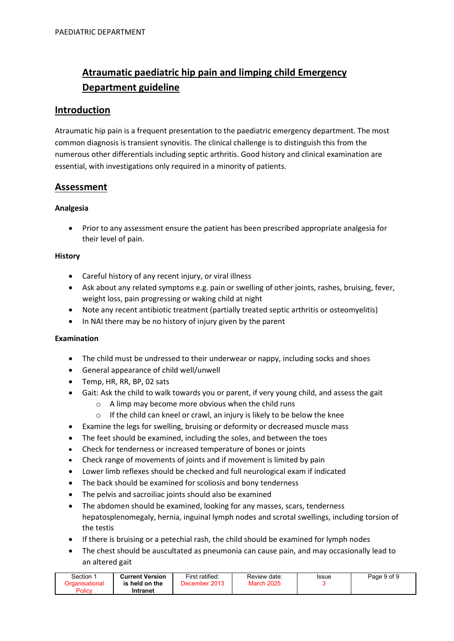# Atraumatic paediatric hip pain and limping child Emergency Department guideline

## Introduction

Atraumatic hip pain is a frequent presentation to the paediatric emergency department. The most common diagnosis is transient synovitis. The clinical challenge is to distinguish this from the numerous other differentials including septic arthritis. Good history and clinical examination are essential, with investigations only required in a minority of patients.

# Assessment

#### Analgesia

 Prior to any assessment ensure the patient has been prescribed appropriate analgesia for their level of pain.

#### **History**

- Careful history of any recent injury, or viral illness
- Ask about any related symptoms e.g. pain or swelling of other joints, rashes, bruising, fever, weight loss, pain progressing or waking child at night
- Note any recent antibiotic treatment (partially treated septic arthritis or osteomyelitis)
- In NAI there may be no history of injury given by the parent

#### Examination

- The child must be undressed to their underwear or nappy, including socks and shoes
- General appearance of child well/unwell
- Temp, HR, RR, BP, 02 sats
- Gait: Ask the child to walk towards you or parent, if very young child, and assess the gait
	- o A limp may become more obvious when the child runs
	- $\circ$  If the child can kneel or crawl, an injury is likely to be below the knee
- Examine the legs for swelling, bruising or deformity or decreased muscle mass
- The feet should be examined, including the soles, and between the toes
- Check for tenderness or increased temperature of bones or joints
- Check range of movements of joints and if movement is limited by pain
- Lower limb reflexes should be checked and full neurological exam if indicated
- The back should be examined for scoliosis and bony tenderness
- The pelvis and sacroiliac joints should also be examined
- The abdomen should be examined, looking for any masses, scars, tenderness hepatosplenomegaly, hernia, inguinal lymph nodes and scrotal swellings, including torsion of the testis
- If there is bruising or a petechial rash, the child should be examined for lymph nodes
- The chest should be auscultated as pneumonia can cause pain, and may occasionally lead to an altered gait

| Section | <b>Current Version</b> | First ratified:         | Review date:      | Issue | Page 9 of 9 |
|---------|------------------------|-------------------------|-------------------|-------|-------------|
|         | is held on the         | 2013<br><b>December</b> | <b>March 2025</b> |       |             |
| Policy  | Intranet               |                         |                   |       |             |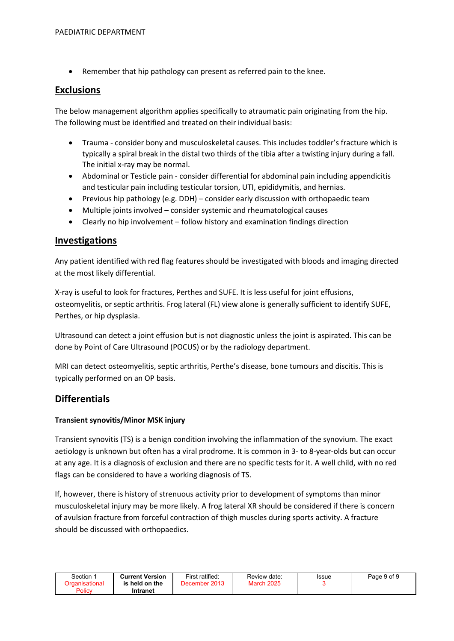Remember that hip pathology can present as referred pain to the knee.

### Exclusions

The below management algorithm applies specifically to atraumatic pain originating from the hip. The following must be identified and treated on their individual basis:

- Trauma consider bony and musculoskeletal causes. This includes toddler's fracture which is typically a spiral break in the distal two thirds of the tibia after a twisting injury during a fall. The initial x-ray may be normal.
- Abdominal or Testicle pain consider differential for abdominal pain including appendicitis and testicular pain including testicular torsion, UTI, epididymitis, and hernias.
- Previous hip pathology (e.g. DDH) consider early discussion with orthopaedic team
- Multiple joints involved consider systemic and rheumatological causes
- Clearly no hip involvement follow history and examination findings direction

## **Investigations**

Any patient identified with red flag features should be investigated with bloods and imaging directed at the most likely differential.

X-ray is useful to look for fractures, Perthes and SUFE. It is less useful for joint effusions, osteomyelitis, or septic arthritis. Frog lateral (FL) view alone is generally sufficient to identify SUFE, Perthes, or hip dysplasia.

Ultrasound can detect a joint effusion but is not diagnostic unless the joint is aspirated. This can be done by Point of Care Ultrasound (POCUS) or by the radiology department.

MRI can detect osteomyelitis, septic arthritis, Perthe's disease, bone tumours and discitis. This is typically performed on an OP basis.

# Differentials

#### Transient synovitis/Minor MSK injury

Transient synovitis (TS) is a benign condition involving the inflammation of the synovium. The exact aetiology is unknown but often has a viral prodrome. It is common in 3- to 8-year-olds but can occur at any age. It is a diagnosis of exclusion and there are no specific tests for it. A well child, with no red flags can be considered to have a working diagnosis of TS.

If, however, there is history of strenuous activity prior to development of symptoms than minor musculoskeletal injury may be more likely. A frog lateral XR should be considered if there is concern of avulsion fracture from forceful contraction of thigh muscles during sports activity. A fracture should be discussed with orthopaedics.

| Section        | <b>Current Version</b> | First ratified: | Review date:      | Issue | Page 9 of 9 |
|----------------|------------------------|-----------------|-------------------|-------|-------------|
| Drɑanisational | is held on the         | December 2013   | <b>March 2025</b> |       |             |
| Policy         | Intranet               |                 |                   |       |             |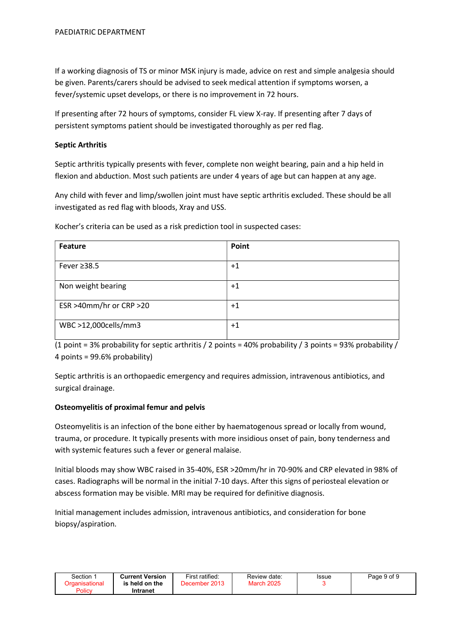If a working diagnosis of TS or minor MSK injury is made, advice on rest and simple analgesia should be given. Parents/carers should be advised to seek medical attention if symptoms worsen, a fever/systemic upset develops, or there is no improvement in 72 hours.

If presenting after 72 hours of symptoms, consider FL view X-ray. If presenting after 7 days of persistent symptoms patient should be investigated thoroughly as per red flag.

#### Septic Arthritis

Septic arthritis typically presents with fever, complete non weight bearing, pain and a hip held in flexion and abduction. Most such patients are under 4 years of age but can happen at any age.

Any child with fever and limp/swollen joint must have septic arthritis excluded. These should be all investigated as red flag with bloods, Xray and USS.

| <b>Feature</b>          | Point |
|-------------------------|-------|
| Fever $\geq$ 38.5       | $+1$  |
| Non weight bearing      | $+1$  |
| ESR >40mm/hr or CRP >20 | $+1$  |
| WBC >12,000cells/mm3    | $+1$  |

Kocher's criteria can be used as a risk prediction tool in suspected cases:

(1 point = 3% probability for septic arthritis / 2 points = 40% probability / 3 points = 93% probability / 4 points = 99.6% probability)

Septic arthritis is an orthopaedic emergency and requires admission, intravenous antibiotics, and surgical drainage.

#### Osteomyelitis of proximal femur and pelvis

Osteomyelitis is an infection of the bone either by haematogenous spread or locally from wound, trauma, or procedure. It typically presents with more insidious onset of pain, bony tenderness and with systemic features such a fever or general malaise.

Initial bloods may show WBC raised in 35-40%, ESR >20mm/hr in 70-90% and CRP elevated in 98% of cases. Radiographs will be normal in the initial 7-10 days. After this signs of periosteal elevation or abscess formation may be visible. MRI may be required for definitive diagnosis.

Initial management includes admission, intravenous antibiotics, and consideration for bone biopsy/aspiration.

| Section        | Current Version | First ratified: | Review date:      | Issue | Page 9 of 9 |
|----------------|-----------------|-----------------|-------------------|-------|-------------|
| Drganisational | is held on the  | December 2013   | <b>March 2025</b> |       |             |
| Policy         | Intranet        |                 |                   |       |             |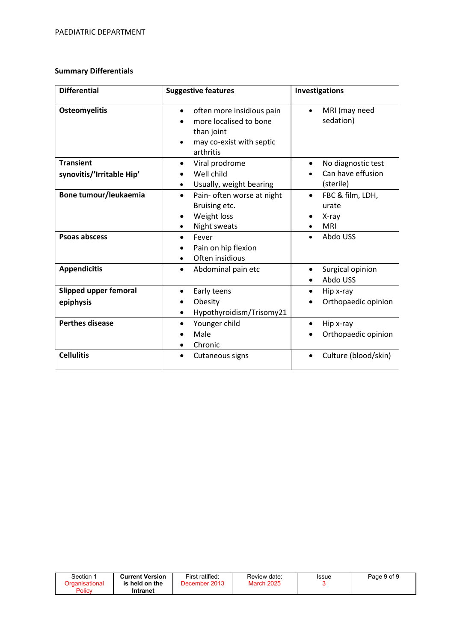#### Summary Differentials

| <b>Differential</b>          | <b>Suggestive features</b>                                                                                              | Investigations                          |
|------------------------------|-------------------------------------------------------------------------------------------------------------------------|-----------------------------------------|
| <b>Osteomyelitis</b>         | often more insidious pain<br>$\bullet$<br>more localised to bone<br>than joint<br>may co-exist with septic<br>arthritis | MRI (may need<br>$\bullet$<br>sedation) |
| <b>Transient</b>             | Viral prodrome<br>$\bullet$                                                                                             | No diagnostic test<br>$\bullet$         |
| synovitis/'Irritable Hip'    | Well child                                                                                                              | Can have effusion                       |
|                              | Usually, weight bearing<br>٠                                                                                            | (sterile)                               |
| Bone tumour/leukaemia        | Pain- often worse at night<br>$\bullet$                                                                                 | FBC & film, LDH,<br>$\bullet$           |
|                              | Bruising etc.                                                                                                           | urate                                   |
|                              | Weight loss                                                                                                             | X-ray                                   |
|                              | Night sweats                                                                                                            | <b>MRI</b>                              |
| <b>Psoas abscess</b>         | Fever                                                                                                                   | Abdo USS                                |
|                              | Pain on hip flexion                                                                                                     |                                         |
|                              | Often insidious                                                                                                         |                                         |
| <b>Appendicitis</b>          | Abdominal pain etc<br>$\bullet$                                                                                         | Surgical opinion                        |
|                              |                                                                                                                         | Abdo USS                                |
| <b>Slipped upper femoral</b> | Early teens                                                                                                             | Hip x-ray                               |
| epiphysis                    | Obesity                                                                                                                 | Orthopaedic opinion                     |
|                              | Hypothyroidism/Trisomy21                                                                                                |                                         |
| <b>Perthes disease</b>       | Younger child                                                                                                           | Hip x-ray<br>$\bullet$                  |
|                              | Male                                                                                                                    | Orthopaedic opinion                     |
|                              | Chronic                                                                                                                 |                                         |
| <b>Cellulitis</b>            | Cutaneous signs                                                                                                         | Culture (blood/skin)                    |
|                              |                                                                                                                         |                                         |

| Section | <b>Current Version</b><br>is held on the | First ratified:<br>2013<br>December | Review date:<br><b>March 2025</b> | Issue | Page 9 of 9 |
|---------|------------------------------------------|-------------------------------------|-----------------------------------|-------|-------------|
| Policy  | Intranet                                 |                                     |                                   |       |             |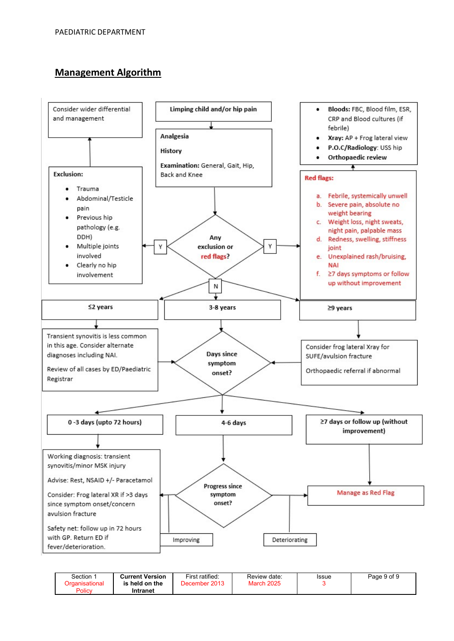# Management Algorithm



| Section 1      | <b>Current Version</b> | First ratified: | Review date:      | Issue | Page 9 of 9 |
|----------------|------------------------|-----------------|-------------------|-------|-------------|
| ेrɑanisational | is held on the         | December 2013   | <b>March 2025</b> |       |             |
| Policy         | Intranet               |                 |                   |       |             |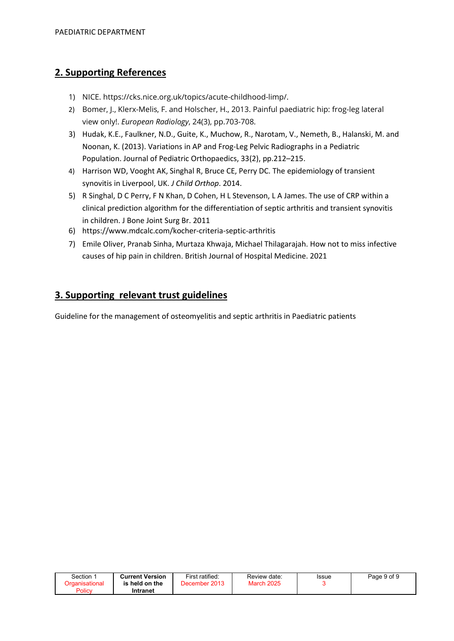# 2. Supporting References

- 1) NICE. https://cks.nice.org.uk/topics/acute-childhood-limp/.
- 2) Bomer, J., Klerx-Melis, F. and Holscher, H., 2013. Painful paediatric hip: frog-leg lateral view only!. European Radiology, 24(3), pp.703-708.
- 3) Hudak, K.E., Faulkner, N.D., Guite, K., Muchow, R., Narotam, V., Nemeth, B., Halanski, M. and Noonan, K. (2013). Variations in AP and Frog-Leg Pelvic Radiographs in a Pediatric Population. Journal of Pediatric Orthopaedics, 33(2), pp.212–215.
- 4) Harrison WD, Vooght AK, Singhal R, Bruce CE, Perry DC. The epidemiology of transient synovitis in Liverpool, UK. J Child Orthop. 2014.
- 5) R Singhal, D C Perry, F N Khan, D Cohen, H L Stevenson, L A James. The use of CRP within a clinical prediction algorithm for the differentiation of septic arthritis and transient synovitis in children. J Bone Joint Surg Br. 2011
- 6) https://www.mdcalc.com/kocher-criteria-septic-arthritis
- 7) Emile Oliver, Pranab Sinha, Murtaza Khwaja, Michael Thilagarajah. How not to miss infective causes of hip pain in children. British Journal of Hospital Medicine. 2021

# 3. Supporting relevant trust guidelines

Guideline for the management of osteomyelitis and septic arthritis in Paediatric patients

| Section:       | <b>Current Version</b> | First ratified: | Review date:      | Issue | Page 9 of 9 |
|----------------|------------------------|-----------------|-------------------|-------|-------------|
| ിrganisational | is held on the         | December 2013   | <b>March 2025</b> |       |             |
| Policy         | Intranet               |                 |                   |       |             |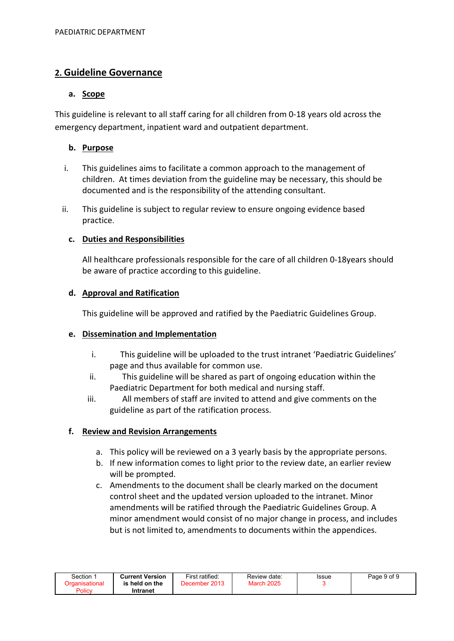# 2. Guideline Governance

#### a. Scope

This guideline is relevant to all staff caring for all children from 0-18 years old across the emergency department, inpatient ward and outpatient department.

## b. Purpose

- i. This guidelines aims to facilitate a common approach to the management of children. At times deviation from the guideline may be necessary, this should be documented and is the responsibility of the attending consultant.
- ii. This guideline is subject to regular review to ensure ongoing evidence based practice.

## c. Duties and Responsibilities

All healthcare professionals responsible for the care of all children 0-18years should be aware of practice according to this guideline.

#### d. Approval and Ratification

This guideline will be approved and ratified by the Paediatric Guidelines Group.

#### e. Dissemination and Implementation

- i. This guideline will be uploaded to the trust intranet 'Paediatric Guidelines' page and thus available for common use.
- ii. This guideline will be shared as part of ongoing education within the Paediatric Department for both medical and nursing staff.
- iii. All members of staff are invited to attend and give comments on the guideline as part of the ratification process.

## f. Review and Revision Arrangements

- a. This policy will be reviewed on a 3 yearly basis by the appropriate persons.
- b. If new information comes to light prior to the review date, an earlier review will be prompted.
- c. Amendments to the document shall be clearly marked on the document control sheet and the updated version uploaded to the intranet. Minor amendments will be ratified through the Paediatric Guidelines Group. A minor amendment would consist of no major change in process, and includes but is not limited to, amendments to documents within the appendices.

| Section 1      | <b>Current Version</b> | First ratified: | Review date:      | Issue | Page 9 of 9 |
|----------------|------------------------|-----------------|-------------------|-------|-------------|
| Organisational | is held on the         | December 2013   | <b>March 2025</b> |       |             |
| Policy         | Intranet               |                 |                   |       |             |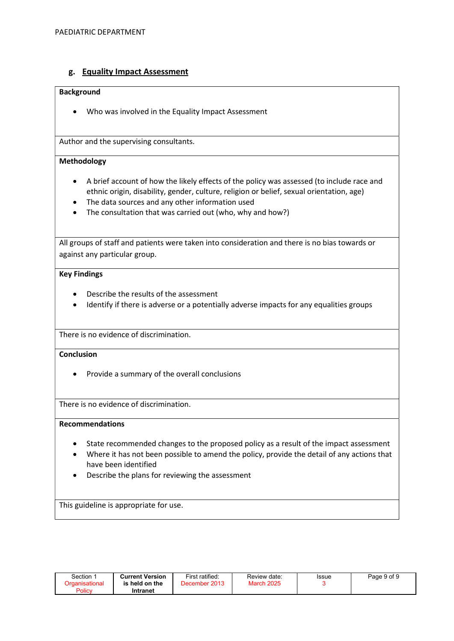#### g. Equality Impact Assessment

#### Background

Who was involved in the Equality Impact Assessment

Author and the supervising consultants.

#### Methodology

- A brief account of how the likely effects of the policy was assessed (to include race and ethnic origin, disability, gender, culture, religion or belief, sexual orientation, age)
- The data sources and any other information used
- The consultation that was carried out (who, why and how?)

All groups of staff and patients were taken into consideration and there is no bias towards or against any particular group.

#### Key Findings

- Describe the results of the assessment
- Identify if there is adverse or a potentially adverse impacts for any equalities groups

There is no evidence of discrimination.

#### **Conclusion**

• Provide a summary of the overall conclusions

There is no evidence of discrimination.

#### Recommendations

- State recommended changes to the proposed policy as a result of the impact assessment
- Where it has not been possible to amend the policy, provide the detail of any actions that have been identified
- Describe the plans for reviewing the assessment

This guideline is appropriate for use.

| Section ∵<br>Organisational | <b>Current Version</b><br>is held on the | First ratified:<br>December 2013 | Review date:<br><b>March 2025</b> | Issue | Page 9 of 9 |
|-----------------------------|------------------------------------------|----------------------------------|-----------------------------------|-------|-------------|
| Policy                      | Intranet                                 |                                  |                                   |       |             |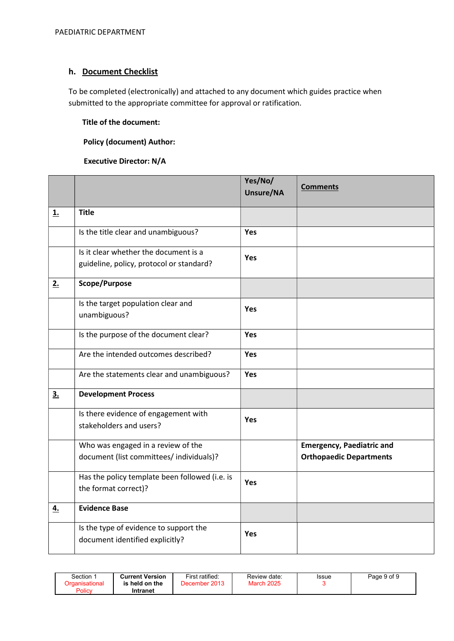### h. Document Checklist

To be completed (electronically) and attached to any document which guides practice when submitted to the appropriate committee for approval or ratification.

#### Title of the document:

#### Policy (document) Author:

#### Executive Director: N/A

|    |                                                                                   | Yes/No/<br>Unsure/NA | <b>Comments</b>                                                    |
|----|-----------------------------------------------------------------------------------|----------------------|--------------------------------------------------------------------|
| 1. | <b>Title</b>                                                                      |                      |                                                                    |
|    | Is the title clear and unambiguous?                                               | Yes                  |                                                                    |
|    | Is it clear whether the document is a<br>guideline, policy, protocol or standard? | Yes                  |                                                                    |
| 2. | Scope/Purpose                                                                     |                      |                                                                    |
|    | Is the target population clear and<br>unambiguous?                                | <b>Yes</b>           |                                                                    |
|    | Is the purpose of the document clear?                                             | Yes                  |                                                                    |
|    | Are the intended outcomes described?                                              | <b>Yes</b>           |                                                                    |
|    | Are the statements clear and unambiguous?                                         | Yes                  |                                                                    |
| 3. | <b>Development Process</b>                                                        |                      |                                                                    |
|    | Is there evidence of engagement with<br>stakeholders and users?                   | Yes                  |                                                                    |
|    | Who was engaged in a review of the<br>document (list committees/ individuals)?    |                      | <b>Emergency, Paediatric and</b><br><b>Orthopaedic Departments</b> |
|    | Has the policy template been followed (i.e. is<br>the format correct)?            | Yes                  |                                                                    |
| 4. | <b>Evidence Base</b>                                                              |                      |                                                                    |
|    | Is the type of evidence to support the<br>document identified explicitly?         | <b>Yes</b>           |                                                                    |

| Section 1<br>Organisational<br>Policy | <b>Current Version</b><br>is held on the<br>Intranet | First ratified:<br>December 2013 | Review date:<br><b>March 2025</b> | Issue | Page 9 of 9 |
|---------------------------------------|------------------------------------------------------|----------------------------------|-----------------------------------|-------|-------------|
|---------------------------------------|------------------------------------------------------|----------------------------------|-----------------------------------|-------|-------------|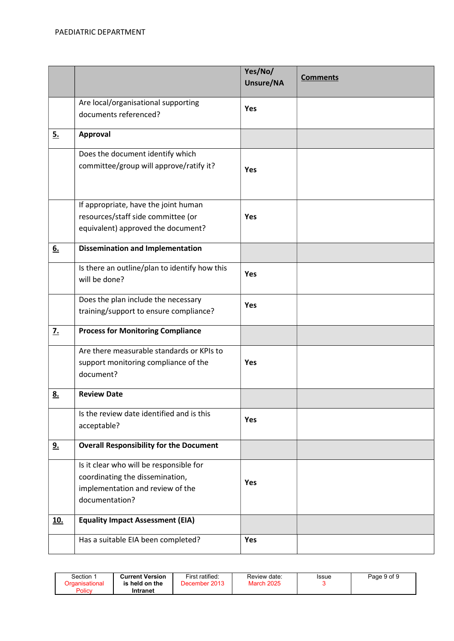|                  |                                                                                                                                  | Yes/No/<br>Unsure/NA | <b>Comments</b> |
|------------------|----------------------------------------------------------------------------------------------------------------------------------|----------------------|-----------------|
|                  | Are local/organisational supporting<br>documents referenced?                                                                     | <b>Yes</b>           |                 |
| 5.               | Approval                                                                                                                         |                      |                 |
|                  | Does the document identify which<br>committee/group will approve/ratify it?                                                      | Yes                  |                 |
|                  | If appropriate, have the joint human<br>resources/staff side committee (or<br>equivalent) approved the document?                 | <b>Yes</b>           |                 |
| 6.               | <b>Dissemination and Implementation</b>                                                                                          |                      |                 |
|                  | Is there an outline/plan to identify how this<br>will be done?                                                                   | <b>Yes</b>           |                 |
|                  | Does the plan include the necessary<br>training/support to ensure compliance?                                                    | <b>Yes</b>           |                 |
| $\overline{z}$ . | <b>Process for Monitoring Compliance</b>                                                                                         |                      |                 |
|                  | Are there measurable standards or KPIs to<br>support monitoring compliance of the<br>document?                                   | <b>Yes</b>           |                 |
| <u>8.</u>        | <b>Review Date</b>                                                                                                               |                      |                 |
|                  | Is the review date identified and is this<br>acceptable?                                                                         | <b>Yes</b>           |                 |
| <u>9.</u>        | <b>Overall Responsibility for the Document</b>                                                                                   |                      |                 |
|                  | Is it clear who will be responsible for<br>coordinating the dissemination,<br>implementation and review of the<br>documentation? | <b>Yes</b>           |                 |
| <u>10.</u>       | <b>Equality Impact Assessment (EIA)</b>                                                                                          |                      |                 |
|                  | Has a suitable EIA been completed?                                                                                               | Yes                  |                 |

| Section<br>Drganisational<br>Policy | <b>Current Version</b><br>. held on the<br>ıs<br>Intranet | First ratified:<br>December 2013 | Review date:<br><b>March 2025</b> | Issue | Page 9 of 9 |
|-------------------------------------|-----------------------------------------------------------|----------------------------------|-----------------------------------|-------|-------------|
|-------------------------------------|-----------------------------------------------------------|----------------------------------|-----------------------------------|-------|-------------|